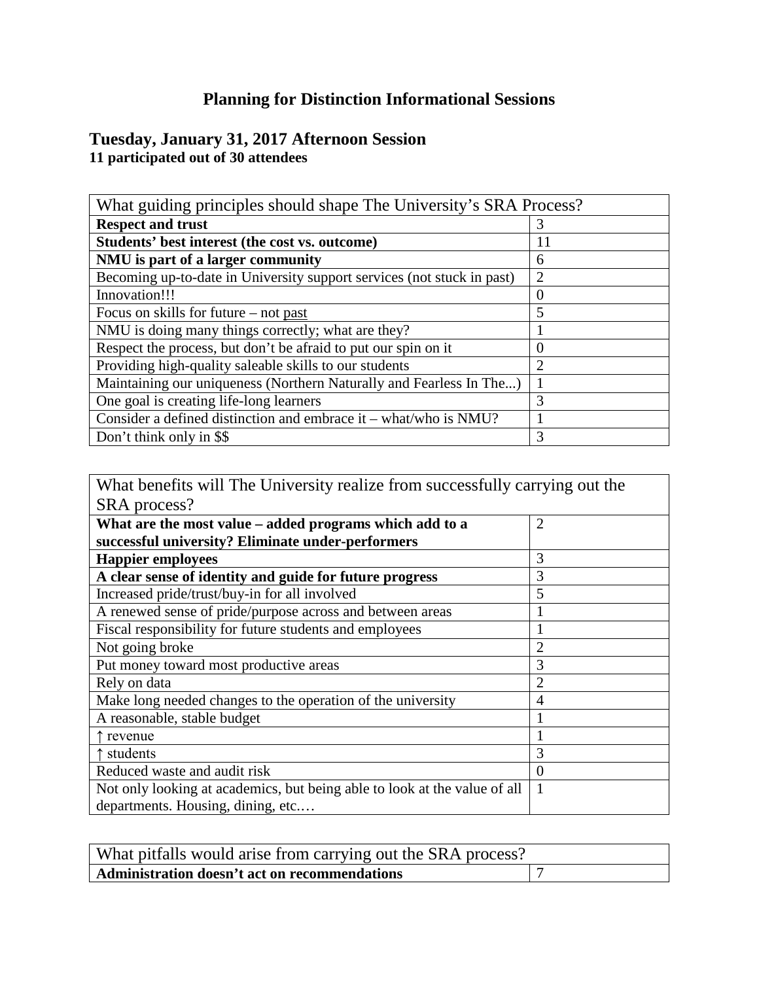## **Planning for Distinction Informational Sessions**

## **Tuesday, January 31, 2017 Afternoon Session 11 participated out of 30 attendees**

| What guiding principles should shape The University's SRA Process?     |                |
|------------------------------------------------------------------------|----------------|
| <b>Respect and trust</b>                                               | 3              |
| Students' best interest (the cost vs. outcome)                         | 11             |
| NMU is part of a larger community                                      | 6              |
| Becoming up-to-date in University support services (not stuck in past) | $\overline{2}$ |
| Innovation!!!                                                          | 0              |
| Focus on skills for future $-$ not past                                | 5              |
| NMU is doing many things correctly; what are they?                     |                |
| Respect the process, but don't be afraid to put our spin on it         | 0              |
| Providing high-quality saleable skills to our students                 | $\overline{2}$ |
| Maintaining our uniqueness (Northern Naturally and Fearless In The)    |                |
| One goal is creating life-long learners                                | 3              |
| Consider a defined distinction and embrace it – what/who is NMU?       |                |
| Don't think only in \$\$                                               | 3              |

What benefits will The University realize from successfully carrying out the SRA process?

| What are the most value – added programs which add to a                   | $\overline{2}$ |
|---------------------------------------------------------------------------|----------------|
| successful university? Eliminate under-performers                         |                |
| <b>Happier employees</b>                                                  | 3              |
| A clear sense of identity and guide for future progress                   | 3              |
| Increased pride/trust/buy-in for all involved                             | 5              |
| A renewed sense of pride/purpose across and between areas                 |                |
| Fiscal responsibility for future students and employees                   |                |
| Not going broke                                                           | $\overline{2}$ |
| Put money toward most productive areas                                    | 3              |
| Rely on data                                                              | $\overline{2}$ |
| Make long needed changes to the operation of the university               | 4              |
| A reasonable, stable budget                                               |                |
| $\uparrow$ revenue                                                        |                |
| ↑ students                                                                | 3              |
| Reduced waste and audit risk                                              | $\overline{0}$ |
| Not only looking at academics, but being able to look at the value of all | 1              |
| departments. Housing, dining, etc                                         |                |

| What pitfalls would arise from carrying out the SRA process? |  |
|--------------------------------------------------------------|--|
| Administration doesn't act on recommendations                |  |